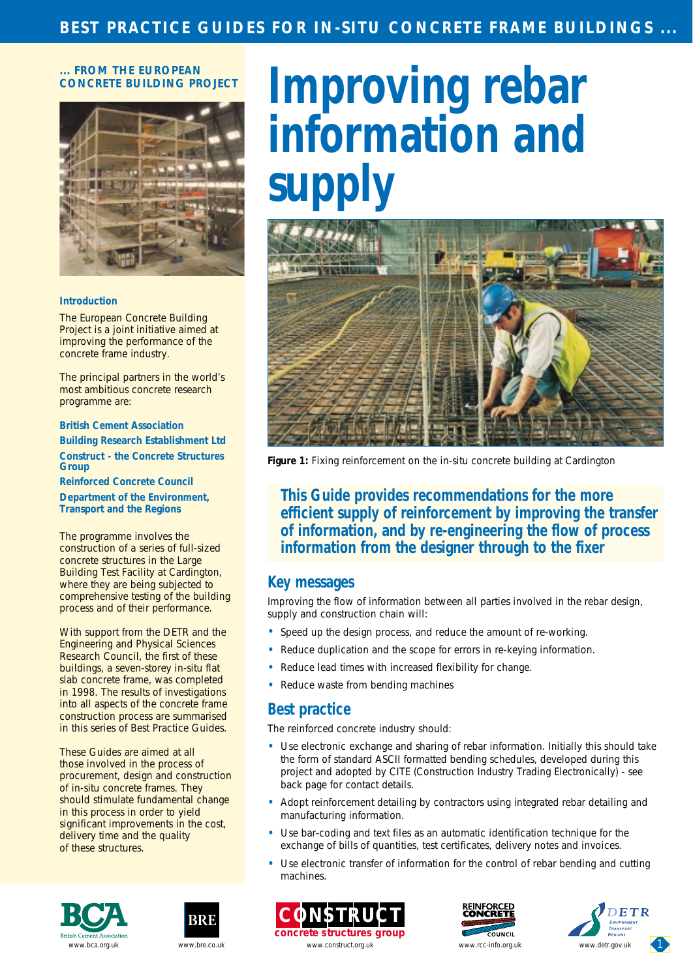#### **... FROM THE EUROPEAN CONCRETE BUILDING PROJECT**



#### **Introduction**

The European Concrete Building Project is a joint initiative aimed at improving the performance of the concrete frame industry.

The principal partners in the world's most ambitious concrete research programme are:

**British Cement Association Building Research Establishment Ltd Construct - the Concrete Structures Group Reinforced Concrete Council**

**Department of the Environment, Transport and the Regions**

The programme involves the construction of a series of full-sized concrete structures in the Large Building Test Facility at Cardington, where they are being subjected to comprehensive testing of the building process and of their performance.

With support from the DETR and the Engineering and Physical Sciences Research Council, the first of these buildings, a seven-storey in-situ flat slab concrete frame, was completed in 1998. The results of investigations into all aspects of the concrete frame construction process are summarised in this series of Best Practice Guides.

These Guides are aimed at all those involved in the process of procurement, design and construction of in-situ concrete frames. They should stimulate fundamental change in this process in order to yield significant improvements in the cost, delivery time and the quality of these structures.

# **Improving rebar information and supply**



*Figure 1: Fixing reinforcement on the in-situ concrete building at Cardington*

**This Guide provides recommendations for the more efficient supply of reinforcement by improving the transfer of information, and by re-engineering the flow of process information from the designer through to the fixer**

#### **Key messages**

Improving the flow of information between all parties involved in the rebar design, supply and construction chain will:

- Speed up the design process, and reduce the amount of re-working.
- Reduce duplication and the scope for errors in re-keying information.
- Reduce lead times with increased flexibility for change.
- Reduce waste from bending machines

### **Best practice**

The reinforced concrete industry should:

- Use electronic exchange and sharing of rebar information. Initially this should take the form of standard ASCII formatted bending schedules, developed during this project and adopted by CITE (Construction Industry Trading Electronically) - see back page for contact details.
- Adopt reinforcement detailing by contractors using integrated rebar detailing and manufacturing information.
- Use bar-coding and text files as an automatic identification technique for the exchange of bills of quantities, test certificates, delivery notes and invoices.
- Use electronic transfer of information for the control of rebar bending and cutting machines.











[www.bca.org.uk](http://www.bca.org.uk/) [www.bre.co.uk](http://www.bre.co.uk) www.construct.org.uk www.construct.org.uk www.cc-info.org.uk [www.detr.gov.uk](http://www.detr.gov.uk/)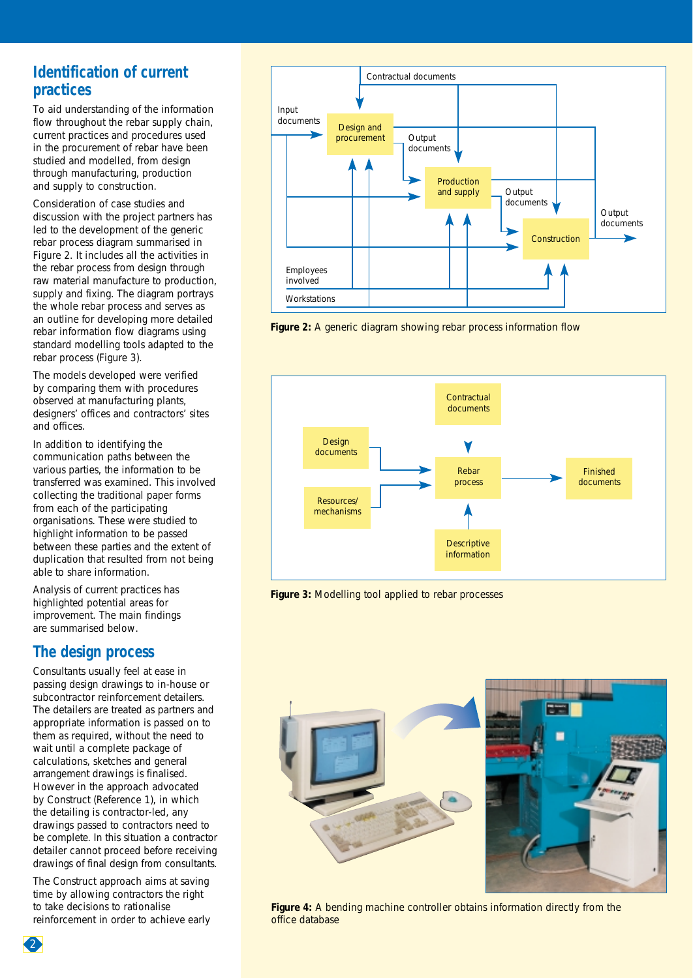# **Identification of current practices**

To aid understanding of the information flow throughout the rebar supply chain, current practices and procedures used in the procurement of rebar have been studied and modelled, from design through manufacturing, production and supply to construction.

Consideration of case studies and discussion with the project partners has led to the development of the generic rebar process diagram summarised in Figure 2. It includes all the activities in the rebar process from design through raw material manufacture to production, supply and fixing. The diagram portrays the whole rebar process and serves as an outline for developing more detailed rebar information flow diagrams using standard modelling tools adapted to the rebar process (Figure 3).

The models developed were verified by comparing them with procedures observed at manufacturing plants, designers' offices and contractors' sites and offices.

In addition to identifying the communication paths between the various parties, the information to be transferred was examined. This involved collecting the traditional paper forms from each of the participating organisations. These were studied to highlight information to be passed between these parties and the extent of duplication that resulted from not being able to share information.

Analysis of current practices has highlighted potential areas for improvement. The main findings are summarised below.

### **The design process**

Consultants usually feel at ease in passing design drawings to in-house or subcontractor reinforcement detailers. The detailers are treated as partners and appropriate information is passed on to them as required, without the need to wait until a complete package of calculations, sketches and general arrangement drawings is finalised. However in the approach advocated by Construct (Reference 1), in which the detailing is contractor-led, any drawings passed to contractors need to be complete. In this situation a contractor detailer cannot proceed before receiving drawings of final design from consultants.

The Construct approach aims at saving time by allowing contractors the right to take decisions to rationalise reinforcement in order to achieve early



*Figure 2: A generic diagram showing rebar process information flow*



*Figure 3: Modelling tool applied to rebar processes*



*Figure 4: A bending machine controller obtains information directly from the office database*

2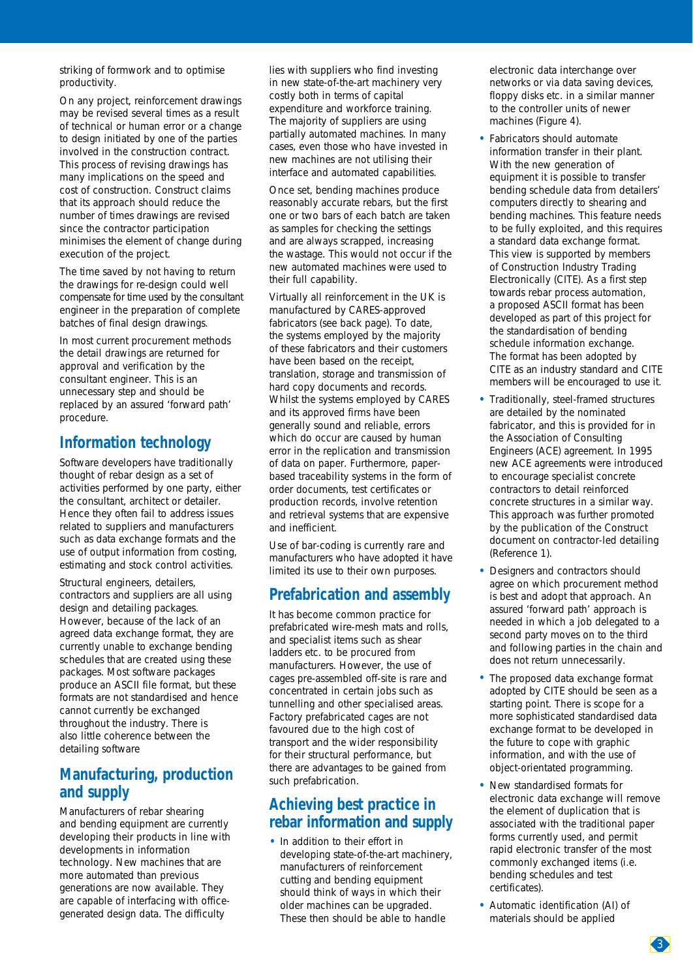striking of formwork and to optimise productivity.

On any project, reinforcement drawings may be revised several times as a result of technical or human error or a change to design initiated by one of the parties involved in the construction contract. This process of revising drawings has many implications on the speed and cost of construction. Construct claims that its approach should reduce the number of times drawings are revised since the contractor participation minimises the element of change during execution of the project.

The time saved by not having to return the drawings for re-design could well compensate for time used by the consultant engineer in the preparation of complete batches of final design drawings.

In most current procurement methods the detail drawings are returned for approval and verification by the consultant engineer. This is an unnecessary step and should be replaced by an assured 'forward path' procedure.

# **Information technology**

Software developers have traditionally thought of rebar design as a set of activities performed by one party, either the consultant, architect or detailer. Hence they often fail to address issues related to suppliers and manufacturers such as data exchange formats and the use of output information from costing, estimating and stock control activities.

Structural engineers, detailers, contractors and suppliers are all using design and detailing packages. However, because of the lack of an agreed data exchange format, they are currently unable to exchange bending schedules that are created using these packages. Most software packages produce an ASCII file format, but these formats are not standardised and hence cannot currently be exchanged throughout the industry. There is also little coherence between the detailing software

## **Manufacturing, production and supply**

Manufacturers of rebar shearing and bending equipment are currently developing their products in line with developments in information technology. New machines that are more automated than previous generations are now available. They are capable of interfacing with officegenerated design data. The difficulty

lies with suppliers who find investing in new state-of-the-art machinery very costly both in terms of capital expenditure and workforce training. The majority of suppliers are using partially automated machines. In many cases, even those who have invested in new machines are not utilising their interface and automated capabilities.

Once set, bending machines produce reasonably accurate rebars, but the first one or two bars of each batch are taken as samples for checking the settings and are always scrapped, increasing the wastage. This would not occur if the new automated machines were used to their full capability.

Virtually all reinforcement in the UK is manufactured by CARES-approved fabricators (see back page). To date, the systems employed by the majority of these fabricators and their customers have been based on the receipt, translation, storage and transmission of hard copy documents and records. Whilst the systems employed by CARES and its approved firms have been generally sound and reliable, errors which do occur are caused by human error in the replication and transmission of data on paper. Furthermore, paperbased traceability systems in the form of order documents, test certificates or production records, involve retention and retrieval systems that are expensive and inefficient.

Use of bar-coding is currently rare and manufacturers who have adopted it have limited its use to their own purposes.

# **Prefabrication and assembly**

It has become common practice for prefabricated wire-mesh mats and rolls, and specialist items such as shear ladders etc. to be procured from manufacturers. However, the use of cages pre-assembled off-site is rare and concentrated in certain jobs such as tunnelling and other specialised areas. Factory prefabricated cages are not favoured due to the high cost of transport and the wider responsibility for their structural performance, but there are advantages to be gained from such prefabrication.

## **Achieving best practice in rebar information and supply**

• In addition to their effort in developing state-of-the-art machinery, manufacturers of reinforcement cutting and bending equipment should think of ways in which their older machines can be upgraded. These then should be able to handle

electronic data interchange over networks or via data saving devices, floppy disks etc. in a similar manner to the controller units of newer machines (Figure 4).

- Fabricators should automate information transfer in their plant. With the new generation of equipment it is possible to transfer bending schedule data from detailers' computers directly to shearing and bending machines. This feature needs to be fully exploited, and this requires a standard data exchange format. This view is supported by members of Construction Industry Trading Electronically (CITE). As a first step towards rebar process automation, a proposed ASCII format has been developed as part of this project for the standardisation of bending schedule information exchange. The format has been adopted by CITE as an industry standard and CITE members will be encouraged to use it.
- Traditionally, steel-framed structures are detailed by the nominated fabricator, and this is provided for in the Association of Consulting Engineers (ACE) agreement. In 1995 new ACE agreements were introduced to encourage specialist concrete contractors to detail reinforced concrete structures in a similar way. This approach was further promoted by the publication of the Construct document on contractor-led detailing (Reference 1).
- Designers and contractors should agree on which procurement method is best and adopt that approach. An assured 'forward path' approach is needed in which a job delegated to a second party moves on to the third and following parties in the chain and does not return unnecessarily.
- The proposed data exchange format adopted by CITE should be seen as a starting point. There is scope for a more sophisticated standardised data exchange format to be developed in the future to cope with graphic information, and with the use of object-orientated programming.
- New standardised formats for electronic data exchange will remove the element of duplication that is associated with the traditional paper forms currently used, and permit rapid electronic transfer of the most commonly exchanged items (i.e. bending schedules and test certificates).
- Automatic identification (AI) of materials should be applied